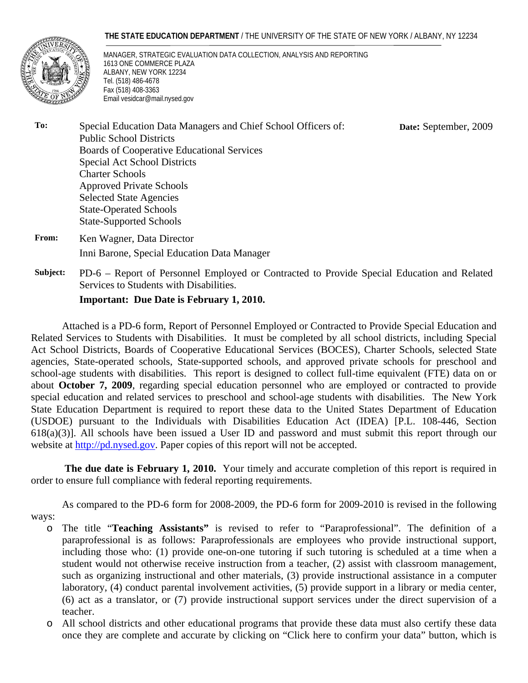#### **THE STATE EDUCATION DEPARTMENT** / THE UNIVERSITY OF THE STATE OF NEW YORK / ALBANY, NY 12234



MANAGER, STRATEGIC EVALUATION DATA COLLECTION, ANALYSIS AND REPORTING 1613 ONE COMMERCE PLAZA ALBANY, NEW YORK 12234 Tel. (518) 486-4678 Fax (518) 408-3363 Email vesidcar@mail.nysed.gov

**Date:** September, 2009

- **To:** Special Education Data Managers and Chief School Officers of: Public School Districts Boards of Cooperative Educational Services Special Act School Districts Charter Schools Approved Private Schools Selected State Agencies State-Operated Schools State-Supported Schools
- **From:** Ken Wagner, Data Director Inni Barone, Special Education Data Manager
- **Subject:** PD-6 Report of Personnel Employed or Contracted to Provide Special Education and Related Services to Students with Disabilities.

#### **Important: Due Date is February 1, 2010.**

Attached is a PD-6 form, Report of Personnel Employed or Contracted to Provide Special Education and Related Services to Students with Disabilities. It must be completed by all school districts, including Special Act School Districts, Boards of Cooperative Educational Services (BOCES), Charter Schools, selected State agencies, State-operated schools, State-supported schools, and approved private schools for preschool and school-age students with disabilities. This report is designed to collect full-time equivalent (FTE) data on or about **October 7, 2009**, regarding special education personnel who are employed or contracted to provide special education and related services to preschool and school-age students with disabilities. The New York State Education Department is required to report these data to the United States Department of Education (USDOE) pursuant to the Individuals with Disabilities Education Act (IDEA) [P.L. 108-446, Section 618(a)(3)]. All schools have been issued a User ID and password and must submit this report through our website at http://pd.nysed.gov. Paper copies of this report will not be accepted.

**The due date is February 1, 2010.** Your timely and accurate completion of this report is required in order to ensure full compliance with federal reporting requirements.

 As compared to the PD-6 form for 2008-2009, the PD-6 form for 2009-2010 is revised in the following ways:

- o The title "**Teaching Assistants"** is revised to refer to "Paraprofessional". The definition of a paraprofessional is as follows: Paraprofessionals are employees who provide instructional support, including those who: (1) provide one-on-one tutoring if such tutoring is scheduled at a time when a student would not otherwise receive instruction from a teacher, (2) assist with classroom management, such as organizing instructional and other materials, (3) provide instructional assistance in a computer laboratory, (4) conduct parental involvement activities, (5) provide support in a library or media center, (6) act as a translator, or (7) provide instructional support services under the direct supervision of a teacher.
- o All school districts and other educational programs that provide these data must also certify these data once they are complete and accurate by clicking on "Click here to confirm your data" button, which is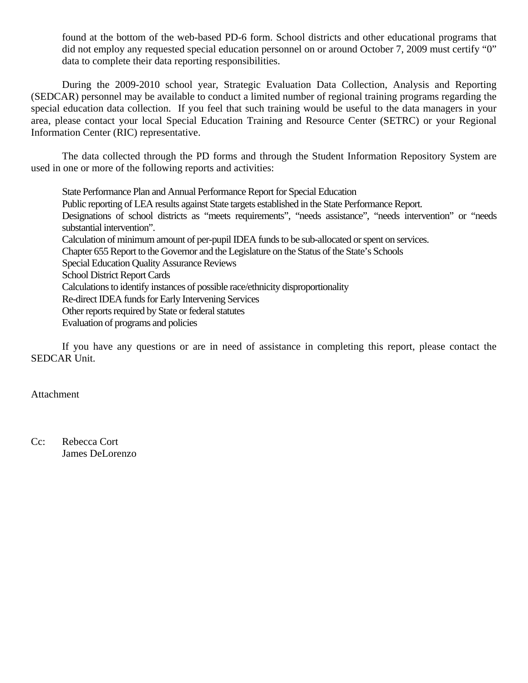found at the bottom of the web-based PD-6 form. School districts and other educational programs that did not employ any requested special education personnel on or around October 7, 2009 must certify "0" data to complete their data reporting responsibilities.

During the 2009-2010 school year, Strategic Evaluation Data Collection, Analysis and Reporting (SEDCAR) personnel may be available to conduct a limited number of regional training programs regarding the special education data collection. If you feel that such training would be useful to the data managers in your area, please contact your local Special Education Training and Resource Center (SETRC) or your Regional Information Center (RIC) representative.

The data collected through the PD forms and through the Student Information Repository System are used in one or more of the following reports and activities:

State Performance Plan and Annual Performance Report for Special Education Public reporting of LEA results against State targets established in the State Performance Report. Designations of school districts as "meets requirements", "needs assistance", "needs intervention" or "needs substantial intervention". Calculation of minimum amount of per-pupil IDEA funds to be sub-allocated or spent on services. Chapter 655 Report to the Governor and the Legislature on the Status of the State's Schools Special Education Quality Assurance Reviews School District Report Cards Calculations to identify instances of possible race/ethnicity disproportionality Re-direct IDEA funds for Early Intervening Services Other reports required by State or federal statutes Evaluation of programs and policies

If you have any questions or are in need of assistance in completing this report, please contact the SEDCAR Unit.

#### Attachment

Cc: Rebecca Cort James DeLorenzo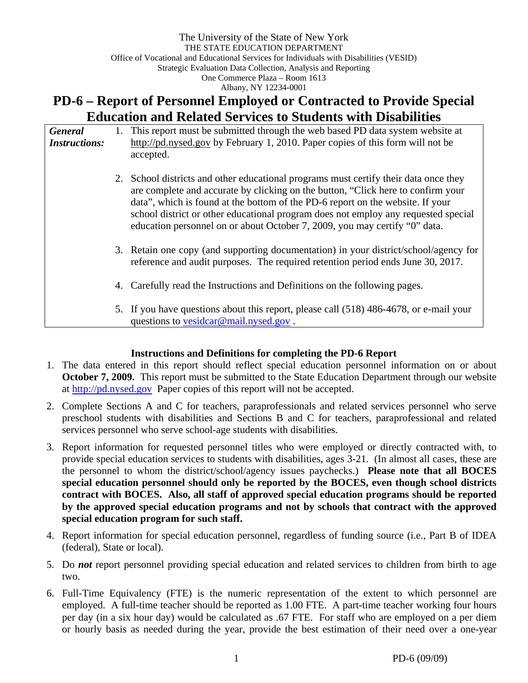# **PD-6 – Report of Personnel Employed or Contracted to Provide Special Education and Related Services to Students with Disabilities**

| <b>General</b><br><b>Instructions:</b> |    | 1. This report must be submitted through the web based PD data system website at<br>http://pd.nysed.gov by February 1, 2010. Paper copies of this form will not be<br>accepted.                                                                                                                                                                                                                                                |
|----------------------------------------|----|--------------------------------------------------------------------------------------------------------------------------------------------------------------------------------------------------------------------------------------------------------------------------------------------------------------------------------------------------------------------------------------------------------------------------------|
|                                        |    | 2. School districts and other educational programs must certify their data once they<br>are complete and accurate by clicking on the button, "Click here to confirm your<br>data", which is found at the bottom of the PD-6 report on the website. If your<br>school district or other educational program does not employ any requested special<br>education personnel on or about October 7, 2009, you may certify "0" data. |
|                                        |    | 3. Retain one copy (and supporting documentation) in your district/school/agency for<br>reference and audit purposes. The required retention period ends June 30, 2017.                                                                                                                                                                                                                                                        |
|                                        | 4. | Carefully read the Instructions and Definitions on the following pages.                                                                                                                                                                                                                                                                                                                                                        |
|                                        |    | 5. If you have questions about this report, please call (518) 486-4678, or e-mail your<br>questions to vesidcar@mail.nysed.gov.                                                                                                                                                                                                                                                                                                |

## **Instructions and Definitions for completing the PD-6 Report**

- 1. The data entered in this report should reflect special education personnel information on or about **October 7, 2009.** This report must be submitted to the State Education Department through our website at http://pd.nysed.gov Paper copies of this report will not be accepted.
- 2. Complete Sections A and C for teachers, paraprofessionals and related services personnel who serve preschool students with disabilities and Sections B and C for teachers, paraprofessional and related services personnel who serve school-age students with disabilities.
- 3. Report information for requested personnel titles who were employed or directly contracted with, to provide special education services to students with disabilities, ages 3-21. (In almost all cases, these are the personnel to whom the district/school/agency issues paychecks.) **Please note that all BOCES special education personnel should only be reported by the BOCES, even though school districts contract with BOCES. Also, all staff of approved special education programs should be reported by the approved special education programs and not by schools that contract with the approved special education program for such staff.**
- 4. Report information for special education personnel, regardless of funding source (i.e., Part B of IDEA (federal), State or local).
- 5. Do *not* report personnel providing special education and related services to children from birth to age two.
- 6. Full-Time Equivalency (FTE) is the numeric representation of the extent to which personnel are employed. A full-time teacher should be reported as 1.00 FTE. A part-time teacher working four hours per day (in a six hour day) would be calculated as .67 FTE. For staff who are employed on a per diem or hourly basis as needed during the year, provide the best estimation of their need over a one-year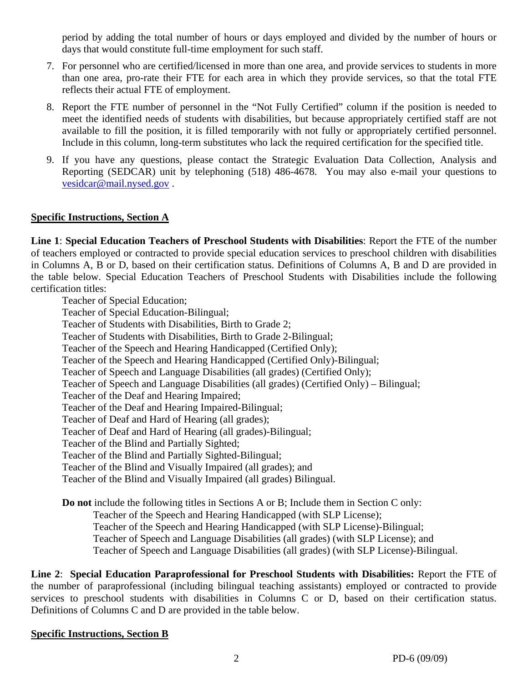period by adding the total number of hours or days employed and divided by the number of hours or days that would constitute full-time employment for such staff.

- 7. For personnel who are certified/licensed in more than one area, and provide services to students in more than one area, pro-rate their FTE for each area in which they provide services, so that the total FTE reflects their actual FTE of employment.
- 8. Report the FTE number of personnel in the "Not Fully Certified" column if the position is needed to meet the identified needs of students with disabilities, but because appropriately certified staff are not available to fill the position, it is filled temporarily with not fully or appropriately certified personnel. Include in this column, long-term substitutes who lack the required certification for the specified title.
- 9. If you have any questions, please contact the Strategic Evaluation Data Collection, Analysis and Reporting (SEDCAR) unit by telephoning (518) 486-4678. You may also e-mail your questions to vesidcar@mail.nysed.gov .

#### **Specific Instructions, Section A**

**Line 1**: **Special Education Teachers of Preschool Students with Disabilities**: Report the FTE of the number of teachers employed or contracted to provide special education services to preschool children with disabilities in Columns A, B or D, based on their certification status. Definitions of Columns A, B and D are provided in the table below. Special Education Teachers of Preschool Students with Disabilities include the following certification titles:

Teacher of Special Education; Teacher of Special Education-Bilingual; Teacher of Students with Disabilities, Birth to Grade 2; Teacher of Students with Disabilities, Birth to Grade 2-Bilingual; Teacher of the Speech and Hearing Handicapped (Certified Only); Teacher of the Speech and Hearing Handicapped (Certified Only)-Bilingual; Teacher of Speech and Language Disabilities (all grades) (Certified Only); Teacher of Speech and Language Disabilities (all grades) (Certified Only) – Bilingual; Teacher of the Deaf and Hearing Impaired; Teacher of the Deaf and Hearing Impaired-Bilingual; Teacher of Deaf and Hard of Hearing (all grades); Teacher of Deaf and Hard of Hearing (all grades)-Bilingual; Teacher of the Blind and Partially Sighted; Teacher of the Blind and Partially Sighted-Bilingual; Teacher of the Blind and Visually Impaired (all grades); and Teacher of the Blind and Visually Impaired (all grades) Bilingual. **Do not** include the following titles in Sections A or B; Include them in Section C only:

Teacher of the Speech and Hearing Handicapped (with SLP License); Teacher of the Speech and Hearing Handicapped (with SLP License)-Bilingual;

Teacher of Speech and Language Disabilities (all grades) (with SLP License); and

Teacher of Speech and Language Disabilities (all grades) (with SLP License)-Bilingual.

**Line 2**: **Special Education Paraprofessional for Preschool Students with Disabilities:** Report the FTE of the number of paraprofessional (including bilingual teaching assistants) employed or contracted to provide services to preschool students with disabilities in Columns C or D, based on their certification status. Definitions of Columns C and D are provided in the table below.

#### **Specific Instructions, Section B**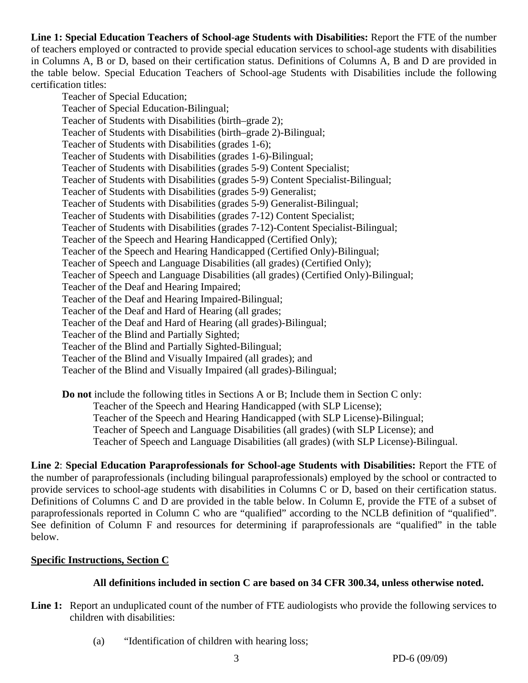**Line 1: Special Education Teachers of School-age Students with Disabilities:** Report the FTE of the number of teachers employed or contracted to provide special education services to school-age students with disabilities in Columns A, B or D, based on their certification status. Definitions of Columns A, B and D are provided in the table below. Special Education Teachers of School-age Students with Disabilities include the following certification titles:

Teacher of Special Education; Teacher of Special Education-Bilingual; Teacher of Students with Disabilities (birth–grade 2); Teacher of Students with Disabilities (birth–grade 2)-Bilingual; Teacher of Students with Disabilities (grades 1-6); Teacher of Students with Disabilities (grades 1-6)-Bilingual; Teacher of Students with Disabilities (grades 5-9) Content Specialist; Teacher of Students with Disabilities (grades 5-9) Content Specialist-Bilingual; Teacher of Students with Disabilities (grades 5-9) Generalist; Teacher of Students with Disabilities (grades 5-9) Generalist-Bilingual; Teacher of Students with Disabilities (grades 7-12) Content Specialist; Teacher of Students with Disabilities (grades 7-12)-Content Specialist-Bilingual; Teacher of the Speech and Hearing Handicapped (Certified Only); Teacher of the Speech and Hearing Handicapped (Certified Only)-Bilingual; Teacher of Speech and Language Disabilities (all grades) (Certified Only); Teacher of Speech and Language Disabilities (all grades) (Certified Only)-Bilingual; Teacher of the Deaf and Hearing Impaired; Teacher of the Deaf and Hearing Impaired-Bilingual; Teacher of the Deaf and Hard of Hearing (all grades; Teacher of the Deaf and Hard of Hearing (all grades)-Bilingual; Teacher of the Blind and Partially Sighted; Teacher of the Blind and Partially Sighted-Bilingual; Teacher of the Blind and Visually Impaired (all grades); and Teacher of the Blind and Visually Impaired (all grades)-Bilingual;

**Do not** include the following titles in Sections A or B; Include them in Section C only: Teacher of the Speech and Hearing Handicapped (with SLP License); Teacher of the Speech and Hearing Handicapped (with SLP License)-Bilingual; Teacher of Speech and Language Disabilities (all grades) (with SLP License); and Teacher of Speech and Language Disabilities (all grades) (with SLP License)-Bilingual.

**Line 2**: **Special Education Paraprofessionals for School-age Students with Disabilities:** Report the FTE of the number of paraprofessionals (including bilingual paraprofessionals) employed by the school or contracted to provide services to school-age students with disabilities in Columns C or D, based on their certification status. Definitions of Columns C and D are provided in the table below. In Column E, provide the FTE of a subset of paraprofessionals reported in Column C who are "qualified" according to the NCLB definition of "qualified". See definition of Column F and resources for determining if paraprofessionals are "qualified" in the table below.

## **Specific Instructions, Section C**

## **All definitions included in section C are based on 34 CFR 300.34, unless otherwise noted.**

- Line 1: Report an unduplicated count of the number of FTE audiologists who provide the following services to children with disabilities:
	- (a) "Identification of children with hearing loss;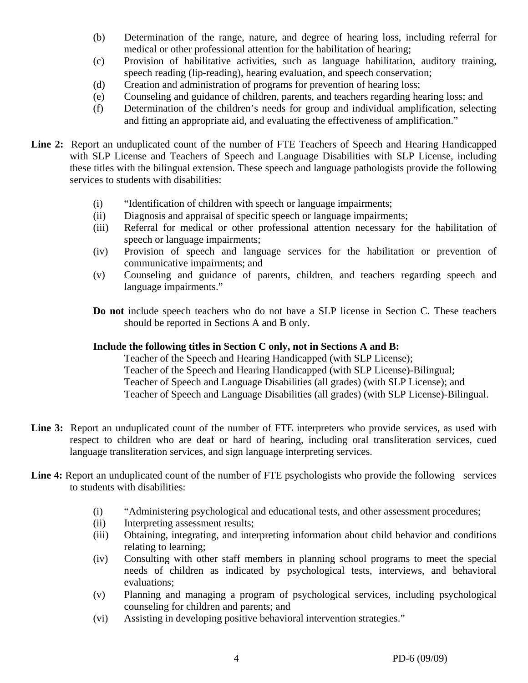- (b) Determination of the range, nature, and degree of hearing loss, including referral for medical or other professional attention for the habilitation of hearing;
- (c) Provision of habilitative activities, such as language habilitation, auditory training, speech reading (lip-reading), hearing evaluation, and speech conservation;
- (d) Creation and administration of programs for prevention of hearing loss;
- (e) Counseling and guidance of children, parents, and teachers regarding hearing loss; and
- (f) Determination of the children's needs for group and individual amplification, selecting and fitting an appropriate aid, and evaluating the effectiveness of amplification."
- **Line 2:** Report an unduplicated count of the number of FTE Teachers of Speech and Hearing Handicapped with SLP License and Teachers of Speech and Language Disabilities with SLP License, including these titles with the bilingual extension. These speech and language pathologists provide the following services to students with disabilities:
	- (i) "Identification of children with speech or language impairments;
	- (ii) Diagnosis and appraisal of specific speech or language impairments;
	- (iii) Referral for medical or other professional attention necessary for the habilitation of speech or language impairments;
	- (iv) Provision of speech and language services for the habilitation or prevention of communicative impairments; and
	- (v) Counseling and guidance of parents, children, and teachers regarding speech and language impairments."
	- **Do not** include speech teachers who do not have a SLP license in Section C. These teachers should be reported in Sections A and B only.

## **Include the following titles in Section C only, not in Sections A and B:**

Teacher of the Speech and Hearing Handicapped (with SLP License); Teacher of the Speech and Hearing Handicapped (with SLP License)-Bilingual; Teacher of Speech and Language Disabilities (all grades) (with SLP License); and Teacher of Speech and Language Disabilities (all grades) (with SLP License)-Bilingual.

- Line 3: Report an unduplicated count of the number of FTE interpreters who provide services, as used with respect to children who are deaf or hard of hearing, including oral transliteration services, cued language transliteration services, and sign language interpreting services.
- Line 4: Report an unduplicated count of the number of FTE psychologists who provide the following services to students with disabilities:
	- (i) "Administering psychological and educational tests, and other assessment procedures;
	- (ii) Interpreting assessment results;
	- (iii) Obtaining, integrating, and interpreting information about child behavior and conditions relating to learning;
	- (iv) Consulting with other staff members in planning school programs to meet the special needs of children as indicated by psychological tests, interviews, and behavioral evaluations;
	- (v) Planning and managing a program of psychological services, including psychological counseling for children and parents; and
	- (vi) Assisting in developing positive behavioral intervention strategies."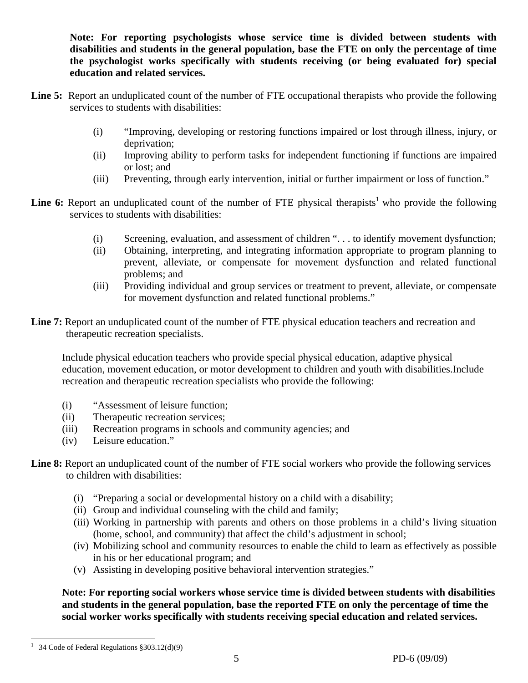**Note: For reporting psychologists whose service time is divided between students with disabilities and students in the general population, base the FTE on only the percentage of time the psychologist works specifically with students receiving (or being evaluated for) special education and related services.** 

- Line 5: Report an unduplicated count of the number of FTE occupational therapists who provide the following services to students with disabilities:
	- (i) "Improving, developing or restoring functions impaired or lost through illness, injury, or deprivation;
	- (ii) Improving ability to perform tasks for independent functioning if functions are impaired or lost; and
	- (iii) Preventing, through early intervention, initial or further impairment or loss of function."
- **Line 6:** Report an unduplicated count of the number of FTE physical therapists<sup>1</sup> who provide the following services to students with disabilities:
	- (i) Screening, evaluation, and assessment of children ". . . to identify movement dysfunction;
	- (ii) Obtaining, interpreting, and integrating information appropriate to program planning to prevent, alleviate, or compensate for movement dysfunction and related functional problems; and
	- (iii) Providing individual and group services or treatment to prevent, alleviate, or compensate for movement dysfunction and related functional problems."
- Line 7: Report an unduplicated count of the number of FTE physical education teachers and recreation and therapeutic recreation specialists.

Include physical education teachers who provide special physical education, adaptive physical education, movement education, or motor development to children and youth with disabilities.Include recreation and therapeutic recreation specialists who provide the following:

- (i) "Assessment of leisure function;
- (ii) Therapeutic recreation services;
- (iii) Recreation programs in schools and community agencies; and
- (iv) Leisure education."

Line 8: Report an unduplicated count of the number of FTE social workers who provide the following services to children with disabilities:

- (i) "Preparing a social or developmental history on a child with a disability;
- (ii) Group and individual counseling with the child and family;
- (iii) Working in partnership with parents and others on those problems in a child's living situation (home, school, and community) that affect the child's adjustment in school;
- (iv) Mobilizing school and community resources to enable the child to learn as effectively as possible in his or her educational program; and
- (v) Assisting in developing positive behavioral intervention strategies."

**Note: For reporting social workers whose service time is divided between students with disabilities and students in the general population, base the reported FTE on only the percentage of time the social worker works specifically with students receiving special education and related services.** 

 $\overline{a}$ <sup>1</sup> 34 Code of Federal Regulations  $\S 303.12(d)(9)$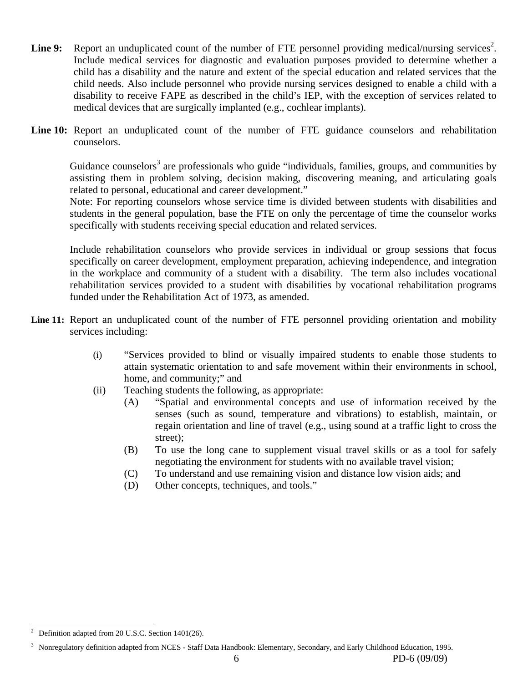- Line 9: Report an unduplicated count of the number of FTE personnel providing medical/nursing services<sup>2</sup>. Include medical services for diagnostic and evaluation purposes provided to determine whether a child has a disability and the nature and extent of the special education and related services that the child needs. Also include personnel who provide nursing services designed to enable a child with a disability to receive FAPE as described in the child's IEP, with the exception of services related to medical devices that are surgically implanted (e.g., cochlear implants).
- Line 10: Report an unduplicated count of the number of FTE guidance counselors and rehabilitation counselors.

Guidance counselors<sup>3</sup> are professionals who guide "individuals, families, groups, and communities by assisting them in problem solving, decision making, discovering meaning, and articulating goals related to personal, educational and career development."

Note: For reporting counselors whose service time is divided between students with disabilities and students in the general population, base the FTE on only the percentage of time the counselor works specifically with students receiving special education and related services.

 Include rehabilitation counselors who provide services in individual or group sessions that focus specifically on career development, employment preparation, achieving independence, and integration in the workplace and community of a student with a disability. The term also includes vocational rehabilitation services provided to a student with disabilities by vocational rehabilitation programs funded under the Rehabilitation Act of 1973, as amended.

- Line 11: Report an unduplicated count of the number of FTE personnel providing orientation and mobility services including:
	- (i) "Services provided to blind or visually impaired students to enable those students to attain systematic orientation to and safe movement within their environments in school, home, and community;" and
	- (ii) Teaching students the following, as appropriate:
		- (A) "Spatial and environmental concepts and use of information received by the senses (such as sound, temperature and vibrations) to establish, maintain, or regain orientation and line of travel (e.g., using sound at a traffic light to cross the street);
		- (B) To use the long cane to supplement visual travel skills or as a tool for safely negotiating the environment for students with no available travel vision;
		- (C) To understand and use remaining vision and distance low vision aids; and
		- (D) Other concepts, techniques, and tools."

 $\overline{a}$ 

<sup>2</sup> Definition adapted from 20 U.S.C. Section 1401(26).

<sup>3</sup> Nonregulatory definition adapted from NCES - Staff Data Handbook: Elementary, Secondary, and Early Childhood Education, 1995.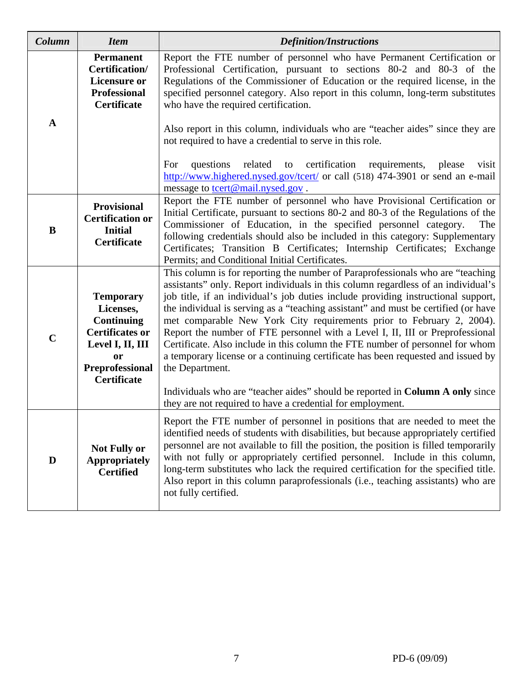| Column      | <b>Item</b>                                                                                                                                                   | <b>Definition/Instructions</b>                                                                                                                                                                                                                                                                                                                                                                                                                                                                                                                                                                                                                                                                    |  |  |  |
|-------------|---------------------------------------------------------------------------------------------------------------------------------------------------------------|---------------------------------------------------------------------------------------------------------------------------------------------------------------------------------------------------------------------------------------------------------------------------------------------------------------------------------------------------------------------------------------------------------------------------------------------------------------------------------------------------------------------------------------------------------------------------------------------------------------------------------------------------------------------------------------------------|--|--|--|
|             | <b>Permanent</b><br>Certification/<br><b>Licensure or</b><br><b>Professional</b><br><b>Certificate</b>                                                        | Report the FTE number of personnel who have Permanent Certification or<br>Professional Certification, pursuant to sections 80-2 and 80-3 of the<br>Regulations of the Commissioner of Education or the required license, in the<br>specified personnel category. Also report in this column, long-term substitutes<br>who have the required certification.                                                                                                                                                                                                                                                                                                                                        |  |  |  |
| A           |                                                                                                                                                               | Also report in this column, individuals who are "teacher aides" since they are<br>not required to have a credential to serve in this role.                                                                                                                                                                                                                                                                                                                                                                                                                                                                                                                                                        |  |  |  |
|             |                                                                                                                                                               | certification<br>related<br>questions<br>to<br>requirements,<br>please<br>visit<br>For<br>http://www.highered.nysed.gov/tcert/ or call (518) 474-3901 or send an e-mail<br>message to tcert@mail.nysed.gov.                                                                                                                                                                                                                                                                                                                                                                                                                                                                                       |  |  |  |
| B           | <b>Provisional</b><br><b>Certification or</b><br><b>Initial</b><br><b>Certificate</b>                                                                         | Report the FTE number of personnel who have Provisional Certification or<br>Initial Certificate, pursuant to sections 80-2 and 80-3 of the Regulations of the<br>Commissioner of Education, in the specified personnel category.<br>The<br>following credentials should also be included in this category: Supplementary<br>Certificates; Transition B Certificates; Internship Certificates; Exchange<br>Permits; and Conditional Initial Certificates.                                                                                                                                                                                                                                          |  |  |  |
| $\mathbf C$ | <b>Temporary</b><br>Licenses,<br><b>Continuing</b><br><b>Certificates or</b><br>Level I, II, III<br><b>or</b><br><b>Preprofessional</b><br><b>Certificate</b> | This column is for reporting the number of Paraprofessionals who are "teaching"<br>assistants" only. Report individuals in this column regardless of an individual's<br>job title, if an individual's job duties include providing instructional support,<br>the individual is serving as a "teaching assistant" and must be certified (or have<br>met comparable New York City requirements prior to February 2, 2004).<br>Report the number of FTE personnel with a Level I, II, III or Preprofessional<br>Certificate. Also include in this column the FTE number of personnel for whom<br>a temporary license or a continuing certificate has been requested and issued by<br>the Department. |  |  |  |
|             |                                                                                                                                                               | Individuals who are "teacher aides" should be reported in Column A only since<br>they are not required to have a credential for employment.                                                                                                                                                                                                                                                                                                                                                                                                                                                                                                                                                       |  |  |  |
| D           | <b>Not Fully or</b><br><b>Appropriately</b><br><b>Certified</b>                                                                                               | Report the FTE number of personnel in positions that are needed to meet the<br>identified needs of students with disabilities, but because appropriately certified<br>personnel are not available to fill the position, the position is filled temporarily<br>with not fully or appropriately certified personnel. Include in this column,<br>long-term substitutes who lack the required certification for the specified title.<br>Also report in this column paraprofessionals (i.e., teaching assistants) who are<br>not fully certified.                                                                                                                                                      |  |  |  |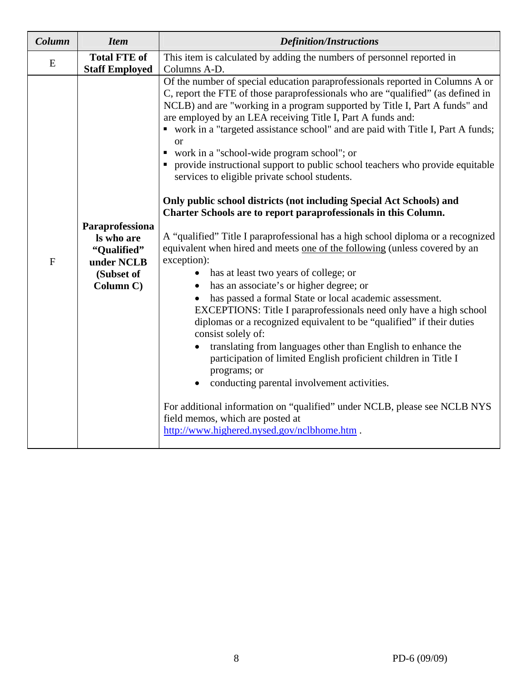| Column<br><b>Item</b> |                                                                                       | <b>Definition/Instructions</b>                                                                                                                                                                                                                                                                                                                                                                                                                                                                                                                                                                                                                                                                                                                                                                                                                                                                                                                                                                                                                                                                                                                                                                                                                                                                                                                                                                                                                                                                                                                                                                                                      |  |  |  |  |  |
|-----------------------|---------------------------------------------------------------------------------------|-------------------------------------------------------------------------------------------------------------------------------------------------------------------------------------------------------------------------------------------------------------------------------------------------------------------------------------------------------------------------------------------------------------------------------------------------------------------------------------------------------------------------------------------------------------------------------------------------------------------------------------------------------------------------------------------------------------------------------------------------------------------------------------------------------------------------------------------------------------------------------------------------------------------------------------------------------------------------------------------------------------------------------------------------------------------------------------------------------------------------------------------------------------------------------------------------------------------------------------------------------------------------------------------------------------------------------------------------------------------------------------------------------------------------------------------------------------------------------------------------------------------------------------------------------------------------------------------------------------------------------------|--|--|--|--|--|
| E                     | <b>Total FTE of</b><br><b>Staff Employed</b>                                          | This item is calculated by adding the numbers of personnel reported in<br>Columns A-D.                                                                                                                                                                                                                                                                                                                                                                                                                                                                                                                                                                                                                                                                                                                                                                                                                                                                                                                                                                                                                                                                                                                                                                                                                                                                                                                                                                                                                                                                                                                                              |  |  |  |  |  |
| $\overline{F}$        | Paraprofessiona<br>Is who are<br>"Qualified"<br>under NCLB<br>(Subset of<br>Column C) | Of the number of special education paraprofessionals reported in Columns A or<br>C, report the FTE of those paraprofessionals who are "qualified" (as defined in<br>NCLB) and are "working in a program supported by Title I, Part A funds" and<br>are employed by an LEA receiving Title I, Part A funds and:<br>• work in a "targeted assistance school" and are paid with Title I, Part A funds;<br><b>or</b><br>• work in a "school-wide program school"; or<br>• provide instructional support to public school teachers who provide equitable<br>services to eligible private school students.<br>Only public school districts (not including Special Act Schools) and<br>Charter Schools are to report paraprofessionals in this Column.<br>A "qualified" Title I paraprofessional has a high school diploma or a recognized<br>equivalent when hired and meets one of the following (unless covered by an<br>exception):<br>has at least two years of college; or<br>$\bullet$<br>has an associate's or higher degree; or<br>has passed a formal State or local academic assessment.<br>EXCEPTIONS: Title I paraprofessionals need only have a high school<br>diplomas or a recognized equivalent to be "qualified" if their duties<br>consist solely of:<br>translating from languages other than English to enhance the<br>participation of limited English proficient children in Title I<br>programs; or<br>conducting parental involvement activities.<br>For additional information on "qualified" under NCLB, please see NCLB NYS<br>field memos, which are posted at<br>http://www.highered.nysed.gov/nclbhome.htm. |  |  |  |  |  |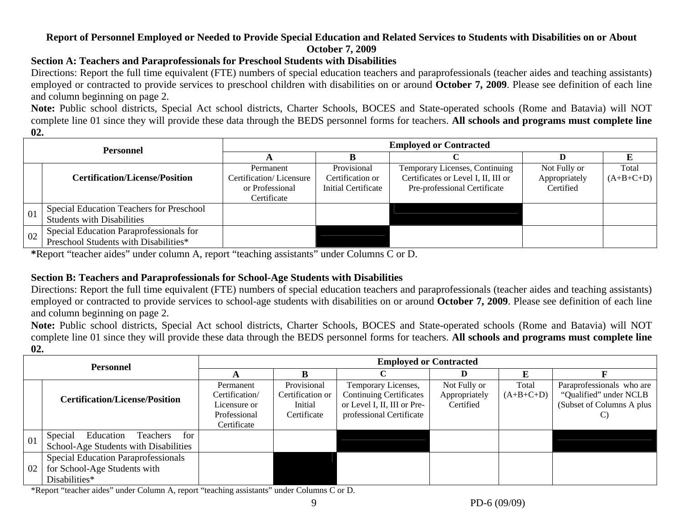## **Report of Personnel Employed or Needed to Provide Special Education and Related Services to Students with Disabilities on or About October 7, 2009**

## **Section A: Teachers and Paraprofessionals for Preschool Students with Disabilities**

Directions: Report the full time equivalent (FTE) numbers of special education teachers and paraprofessionals (teacher aides and teaching assistants) employed or contracted to provide services to preschool children with disabilities on or around **October 7, 2009**. Please see definition of each line and column beginning on page 2.

**Note:** Public school districts, Special Act school districts, Charter Schools, BOCES and State-operated schools (Rome and Batavia) will NOT complete line 01 since they will provide these data through the BEDS personnel forms for teachers. **All schools and programs must complete line 02.**

| Personnel |                                          | <b>Employed or Contracted</b> |                     |                                     |               |             |  |  |  |
|-----------|------------------------------------------|-------------------------------|---------------------|-------------------------------------|---------------|-------------|--|--|--|
|           |                                          |                               |                     |                                     |               |             |  |  |  |
|           |                                          | Permanent                     | Provisional         | Temporary Licenses, Continuing      | Not Fully or  | Total       |  |  |  |
|           | <b>Certification/License/Position</b>    | Certification/Licensure       | Certification or    | Certificates or Level I, II, III or | Appropriately | $(A+B+C+D)$ |  |  |  |
|           |                                          | or Professional               | Initial Certificate | Pre-professional Certificate        | Certified     |             |  |  |  |
|           |                                          | Certificate                   |                     |                                     |               |             |  |  |  |
| 01        | Special Education Teachers for Preschool |                               |                     |                                     |               |             |  |  |  |
|           | <b>Students with Disabilities</b>        |                               |                     |                                     |               |             |  |  |  |
| 02        | Special Education Paraprofessionals for  |                               |                     |                                     |               |             |  |  |  |
|           | Preschool Students with Disabilities*    |                               |                     |                                     |               |             |  |  |  |

**\***Report "teacher aides" under column A, report "teaching assistants" under Columns C or D.

# **Section B: Teachers and Paraprofessionals for School-Age Students with Disabilities**

Directions: Report the full time equivalent (FTE) numbers of special education teachers and paraprofessionals (teacher aides and teaching assistants) employed or contracted to provide services to school-age students with disabilities on or around **October 7, 2009**. Please see definition of each line and column beginning on page 2.

**Note:** Public school districts, Special Act school districts, Charter Schools, BOCES and State-operated schools (Rome and Batavia) will NOT complete line 01 since they will provide these data through the BEDS personnel forms for teachers. **All schools and programs must complete line 02.**

| <b>Personnel</b> |                                                                                      | <b>Employed or Contracted</b>                                              |                                                           |                                                                                                                  |                                            |                      |                                                                                        |  |
|------------------|--------------------------------------------------------------------------------------|----------------------------------------------------------------------------|-----------------------------------------------------------|------------------------------------------------------------------------------------------------------------------|--------------------------------------------|----------------------|----------------------------------------------------------------------------------------|--|
|                  |                                                                                      |                                                                            |                                                           |                                                                                                                  |                                            |                      |                                                                                        |  |
|                  | <b>Certification/License/Position</b>                                                | Permanent<br>Certification/<br>Licensure or<br>Professional<br>Certificate | Provisional<br>Certification or<br>Initial<br>Certificate | Temporary Licenses,<br><b>Continuing Certificates</b><br>or Level I, II, III or Pre-<br>professional Certificate | Not Fully or<br>Appropriately<br>Certified | Total<br>$(A+B+C+D)$ | Paraprofessionals who are<br>"Qualified" under NCLB<br>(Subset of Columns A plus<br>C) |  |
| 01               | Special<br>Education<br>Teachers<br>for<br>School-Age Students with Disabilities     |                                                                            |                                                           |                                                                                                                  |                                            |                      |                                                                                        |  |
| 02               | Special Education Paraprofessionals<br>for School-Age Students with<br>Disabilities* |                                                                            |                                                           |                                                                                                                  |                                            |                      |                                                                                        |  |

\*Report "teacher aides" under Column A, report "teaching assistants" under Columns C or D.